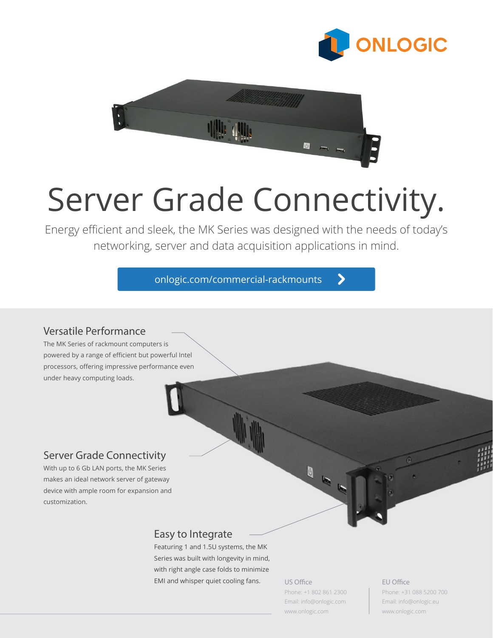



# Server Grade Connectivity.

Energy efficient and sleek, the MK Series was designed with the needs of today's networking, server and data acquisition applications in mind.

[onlogic.com/commercial-rackmounts](https://www.logicsupply.com/products/rackmount-computers/commercial-rackmounts/)

## Versatile Performance

The MK Series of rackmount computers is powered by a range of efficient but powerful Intel processors, offering impressive performance even under heavy computing loads.

# Server Grade Connectivity

With up to 6 Gb LAN ports, the MK Series makes an ideal network server of gateway device with ample room for expansion and customization.

# Easy to Integrate

Featuring 1 and 1.5U systems, the MK Series was built with longevity in mind, with right angle case folds to minimize EMI and whisper quiet cooling fans.

US Office

Phone: +1 802 861 2300 Email: info@onlogic.com [www.onlogic.com](http://www.onlogic.com)

ゝ

EU Office

Phone: +31 088 5200 700 Email: info@onlogic.eu [www.onlogic.com](http://www.onlogic.com)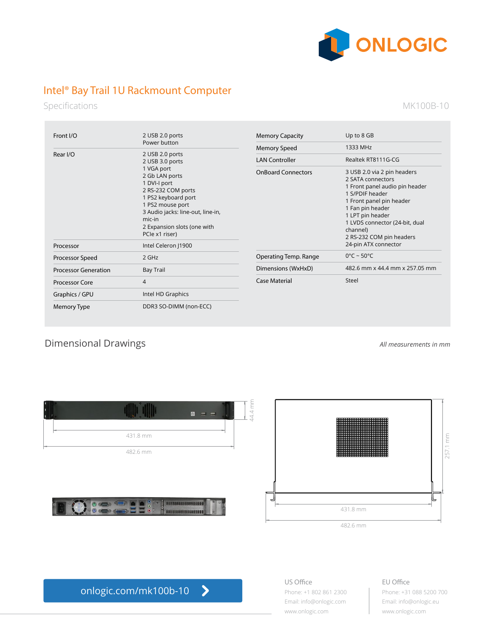

# Intel® Bay Trail 1U Rackmount Computer

Specifications

MK100B-10

| Front I/O                   | 2 USB 2.0 ports                                                                                                                                                                                                                                     | <b>Memory Capacity</b>    | Up to 8 GB                                                                                                                                                                                                                                          |
|-----------------------------|-----------------------------------------------------------------------------------------------------------------------------------------------------------------------------------------------------------------------------------------------------|---------------------------|-----------------------------------------------------------------------------------------------------------------------------------------------------------------------------------------------------------------------------------------------------|
|                             | Power button                                                                                                                                                                                                                                        | <b>Memory Speed</b>       | 1333 MHz                                                                                                                                                                                                                                            |
| Rear I/O                    | 2 USB 2.0 ports<br>2 USB 3.0 ports<br>1 VGA port<br>2 Gb LAN ports<br>1 DVI-I port<br>2 RS-232 COM ports<br>1 PS2 keyboard port<br>1 PS2 mouse port<br>3 Audio jacks: line-out, line-in,<br>mic-in<br>2 Expansion slots (one with<br>PCle x1 riser) | <b>LAN Controller</b>     | Realtek RT8111G-CG                                                                                                                                                                                                                                  |
|                             |                                                                                                                                                                                                                                                     | <b>OnBoard Connectors</b> | 3 USB 2.0 via 2 pin headers<br>2 SATA connectors<br>1 Front panel audio pin header<br>1 S/PDIF header<br>1 Front panel pin header<br>1 Fan pin header<br>1 LPT pin header<br>1 LVDS connector (24-bit, dual<br>channel)<br>2 RS-232 COM pin headers |
| Processor                   | Intel Celeron   1900                                                                                                                                                                                                                                |                           | 24-pin ATX connector                                                                                                                                                                                                                                |
| Processor Speed             | 2 GHz                                                                                                                                                                                                                                               | Operating Temp. Range     | $0^{\circ}$ C ~ 50 $^{\circ}$ C                                                                                                                                                                                                                     |
| <b>Processor Generation</b> | <b>Bay Trail</b>                                                                                                                                                                                                                                    | Dimensions (WxHxD)        | 482.6 mm x 44.4 mm x 257.05 mm                                                                                                                                                                                                                      |
| <b>Processor Core</b>       | 4                                                                                                                                                                                                                                                   | <b>Case Material</b>      | Steel                                                                                                                                                                                                                                               |
| Graphics / GPU              | Intel HD Graphics                                                                                                                                                                                                                                   |                           |                                                                                                                                                                                                                                                     |
| Memory Type                 | DDR3 SO-DIMM (non-ECC)                                                                                                                                                                                                                              |                           |                                                                                                                                                                                                                                                     |

# Dimensional Drawings *All measurements in mm*





[onlogic.com/mk100b-10](https://www.logicsupply.com/mk100b-10/)  $\blacktriangleright$  US Office Phone: +1 802 861 2300 Email: info@onlogic.com [www.onlogic.com](http://www.onlogic.com)

EU Office

Phone: +31 088 5200 700 Email: info@onlogic.eu [www.onlogic.com](http://www.onlogic.com)